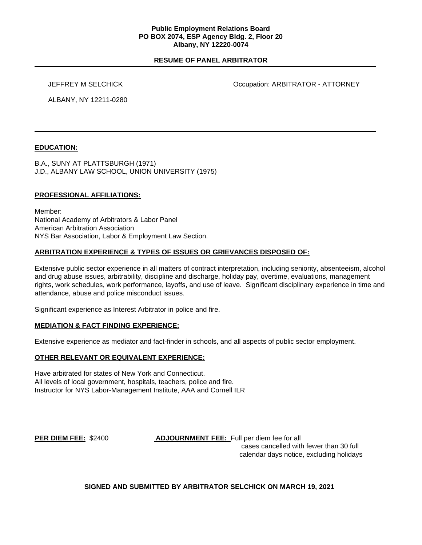#### **Public Employment Relations Board PO BOX 2074, ESP Agency Bldg. 2, Floor 20 Albany, NY 12220-0074**

# **RESUME OF PANEL ARBITRATOR**

JEFFREY M SELCHICK Occupation: ARBITRATOR - ATTORNEY

ALBANY, NY 12211-0280

# **EDUCATION:**

B.A., SUNY AT PLATTSBURGH (1971) J.D., ALBANY LAW SCHOOL, UNION UNIVERSITY (1975)

# **PROFESSIONAL AFFILIATIONS:**

Member: National Academy of Arbitrators & Labor Panel American Arbitration Association NYS Bar Association, Labor & Employment Law Section.

# **ARBITRATION EXPERIENCE & TYPES OF ISSUES OR GRIEVANCES DISPOSED OF:**

Extensive public sector experience in all matters of contract interpretation, including seniority, absenteeism, alcohol and drug abuse issues, arbitrability, discipline and discharge, holiday pay, overtime, evaluations, management rights, work schedules, work performance, layoffs, and use of leave. Significant disciplinary experience in time and attendance, abuse and police misconduct issues.

Significant experience as Interest Arbitrator in police and fire.

#### **MEDIATION & FACT FINDING EXPERIENCE:**

Extensive experience as mediator and fact-finder in schools, and all aspects of public sector employment.

### **OTHER RELEVANT OR EQUIVALENT EXPERIENCE:**

Have arbitrated for states of New York and Connecticut. All levels of local government, hospitals, teachers, police and fire. Instructor for NYS Labor-Management Institute, AAA and Cornell ILR

**PER DIEM FEE:** \$2400 **ADJOURNMENT FEE:** Full per diem fee for all cases cancelled with fewer than 30 full calendar days notice, excluding holidays

#### **SIGNED AND SUBMITTED BY ARBITRATOR SELCHICK ON MARCH 19, 2021**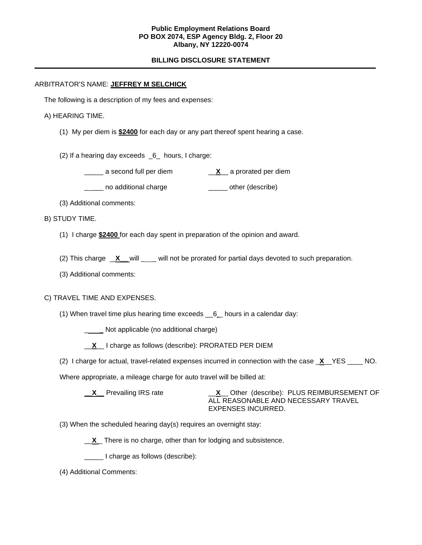### **Public Employment Relations Board PO BOX 2074, ESP Agency Bldg. 2, Floor 20 Albany, NY 12220-0074**

# **BILLING DISCLOSURE STATEMENT**

### ARBITRATOR'S NAME: **JEFFREY M SELCHICK**

The following is a description of my fees and expenses:

#### A) HEARING TIME.

- (1) My per diem is **\$2400** for each day or any part thereof spent hearing a case.
- (2) If a hearing day exceeds  $6$  hours, I charge:
	- \_\_\_\_\_ a second full per diem \_\_**X**\_\_ a prorated per diem
	- Letter no additional charge and the control other (describe)
- (3) Additional comments:

# B) STUDY TIME.

- (1) I charge **\$2400** for each day spent in preparation of the opinion and award.
- (2) This charge <u>X</u> will \_\_\_ will not be prorated for partial days devoted to such preparation.
- (3) Additional comments:

#### C) TRAVEL TIME AND EXPENSES.

- (1) When travel time plus hearing time exceeds \_\_6 \_ hours in a calendar day:
	- \_ **\_** Not applicable (no additional charge)
	- \_\_**X**\_\_ I charge as follows (describe): PRORATED PER DIEM
- (2) I charge for actual, travel-related expenses incurred in connection with the case \_**X**\_\_YES \_\_\_\_ NO.

Where appropriate, a mileage charge for auto travel will be billed at:

**\_\_X\_\_** Prevailing IRS rate \_\_**X**\_\_ Other (describe): PLUS REIMBURSEMENT OF ALL REASONABLE AND NECESSARY TRAVEL EXPENSES INCURRED.

- (3) When the scheduled hearing day(s) requires an overnight stay:
	- **X** There is no charge, other than for lodging and subsistence.
	- \_\_\_\_\_ I charge as follows (describe):
- (4) Additional Comments: